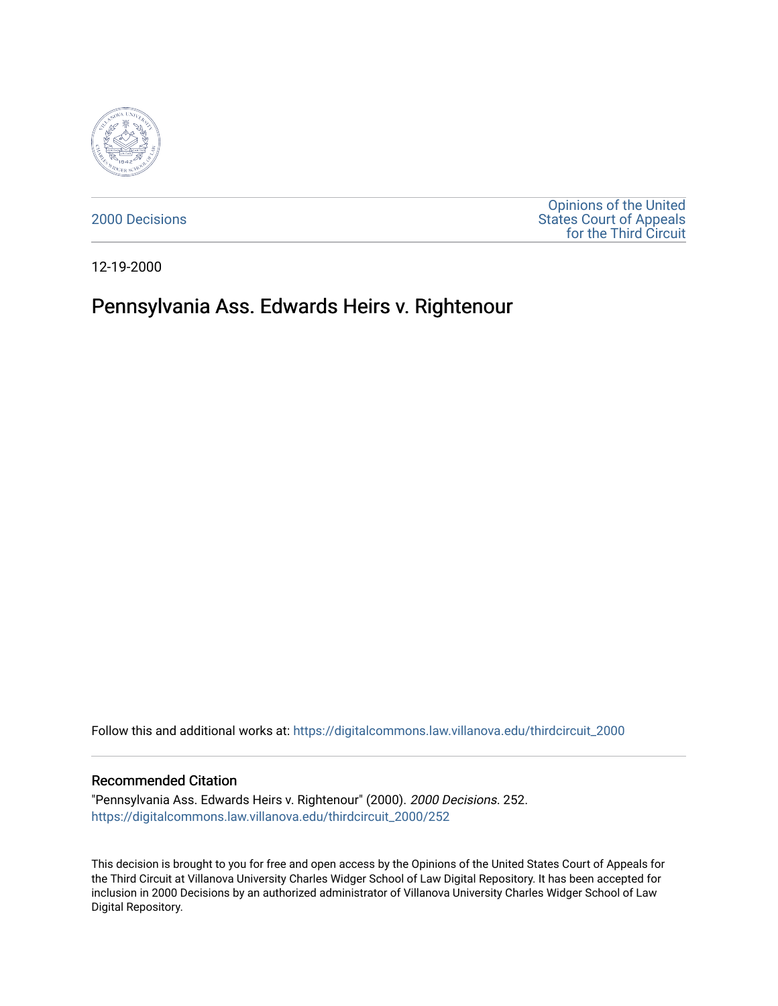

[2000 Decisions](https://digitalcommons.law.villanova.edu/thirdcircuit_2000)

[Opinions of the United](https://digitalcommons.law.villanova.edu/thirdcircuit)  [States Court of Appeals](https://digitalcommons.law.villanova.edu/thirdcircuit)  [for the Third Circuit](https://digitalcommons.law.villanova.edu/thirdcircuit) 

12-19-2000

## Pennsylvania Ass. Edwards Heirs v. Rightenour

Follow this and additional works at: [https://digitalcommons.law.villanova.edu/thirdcircuit\\_2000](https://digitalcommons.law.villanova.edu/thirdcircuit_2000?utm_source=digitalcommons.law.villanova.edu%2Fthirdcircuit_2000%2F252&utm_medium=PDF&utm_campaign=PDFCoverPages) 

## Recommended Citation

"Pennsylvania Ass. Edwards Heirs v. Rightenour" (2000). 2000 Decisions. 252. [https://digitalcommons.law.villanova.edu/thirdcircuit\\_2000/252](https://digitalcommons.law.villanova.edu/thirdcircuit_2000/252?utm_source=digitalcommons.law.villanova.edu%2Fthirdcircuit_2000%2F252&utm_medium=PDF&utm_campaign=PDFCoverPages)

This decision is brought to you for free and open access by the Opinions of the United States Court of Appeals for the Third Circuit at Villanova University Charles Widger School of Law Digital Repository. It has been accepted for inclusion in 2000 Decisions by an authorized administrator of Villanova University Charles Widger School of Law Digital Repository.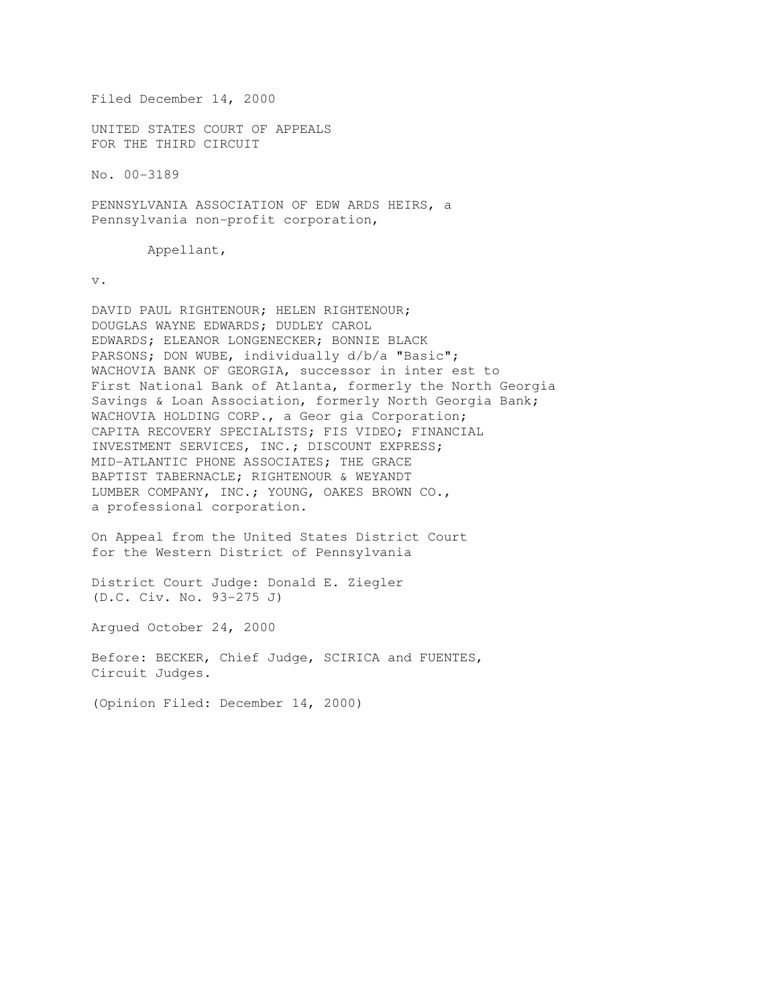Filed December 14, 2000

UNITED STATES COURT OF APPEALS FOR THE THIRD CIRCUIT

No. 00-3189

PENNSYLVANIA ASSOCIATION OF EDW ARDS HEIRS, a Pennsylvania non-profit corporation,

Appellant,

v.

DAVID PAUL RIGHTENOUR; HELEN RIGHTENOUR; DOUGLAS WAYNE EDWARDS; DUDLEY CAROL EDWARDS; ELEANOR LONGENECKER; BONNIE BLACK PARSONS; DON WUBE, individually d/b/a "Basic"; WACHOVIA BANK OF GEORGIA, successor in inter est to First National Bank of Atlanta, formerly the North Georgia Savings & Loan Association, formerly North Georgia Bank; WACHOVIA HOLDING CORP., a Geor gia Corporation; CAPITA RECOVERY SPECIALISTS; FIS VIDEO; FINANCIAL INVESTMENT SERVICES, INC.; DISCOUNT EXPRESS; MID-ATLANTIC PHONE ASSOCIATES; THE GRACE BAPTIST TABERNACLE; RIGHTENOUR & WEYANDT LUMBER COMPANY, INC.; YOUNG, OAKES BROWN CO., a professional corporation.

On Appeal from the United States District Court for the Western District of Pennsylvania

District Court Judge: Donald E. Ziegler (D.C. Civ. No. 93-275 J)

Argued October 24, 2000

Before: BECKER, Chief Judge, SCIRICA and FUENTES, Circuit Judges.

(Opinion Filed: December 14, 2000)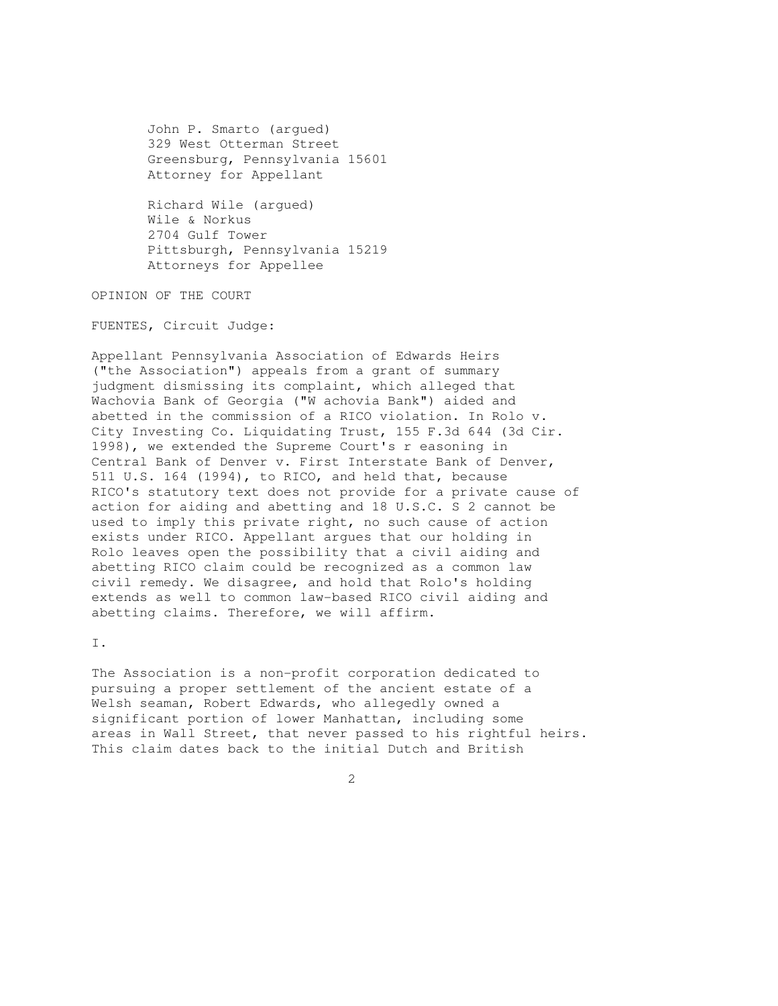John P. Smarto (argued) 329 West Otterman Street Greensburg, Pennsylvania 15601 Attorney for Appellant

 Richard Wile (argued) Wile & Norkus 2704 Gulf Tower Pittsburgh, Pennsylvania 15219 Attorneys for Appellee

OPINION OF THE COURT

FUENTES, Circuit Judge:

Appellant Pennsylvania Association of Edwards Heirs ("the Association") appeals from a grant of summary judgment dismissing its complaint, which alleged that Wachovia Bank of Georgia ("W achovia Bank") aided and abetted in the commission of a RICO violation. In Rolo v. City Investing Co. Liquidating Trust, 155 F.3d 644 (3d Cir. 1998), we extended the Supreme Court's r easoning in Central Bank of Denver v. First Interstate Bank of Denver, 511 U.S. 164 (1994), to RICO, and held that, because RICO's statutory text does not provide for a private cause of action for aiding and abetting and 18 U.S.C. S 2 cannot be used to imply this private right, no such cause of action exists under RICO. Appellant argues that our holding in Rolo leaves open the possibility that a civil aiding and abetting RICO claim could be recognized as a common law civil remedy. We disagree, and hold that Rolo's holding extends as well to common law-based RICO civil aiding and abetting claims. Therefore, we will affirm.

I.

The Association is a non-profit corporation dedicated to pursuing a proper settlement of the ancient estate of a Welsh seaman, Robert Edwards, who allegedly owned a significant portion of lower Manhattan, including some areas in Wall Street, that never passed to his rightful heirs. This claim dates back to the initial Dutch and British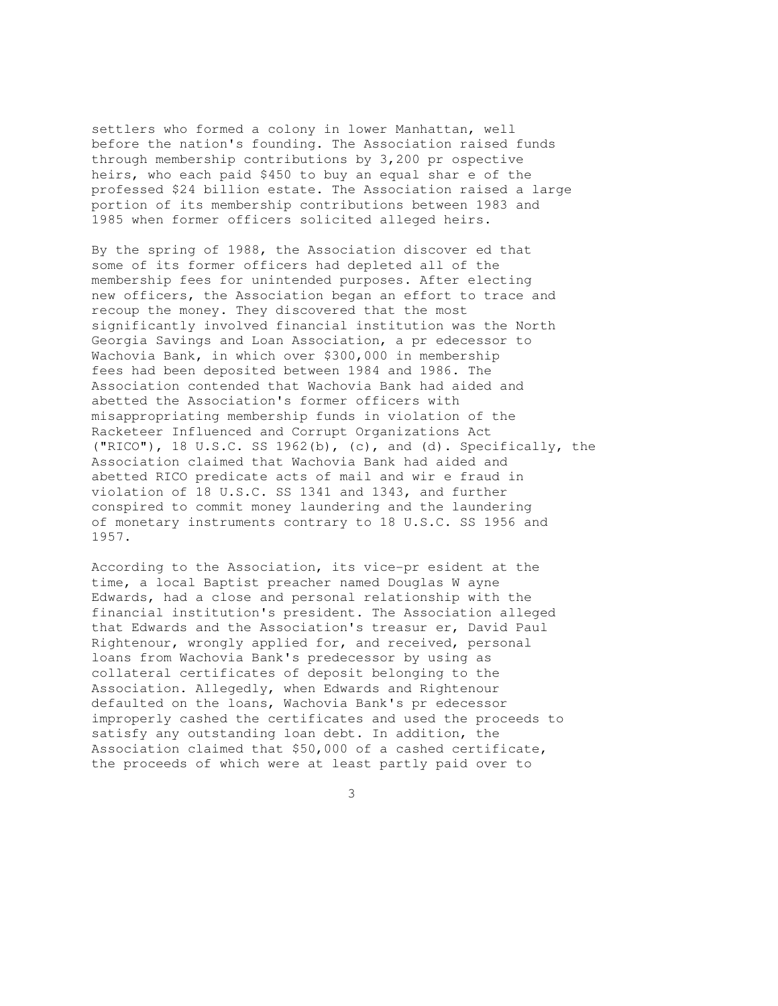settlers who formed a colony in lower Manhattan, well before the nation's founding. The Association raised funds through membership contributions by 3,200 pr ospective heirs, who each paid \$450 to buy an equal shar e of the professed \$24 billion estate. The Association raised a large portion of its membership contributions between 1983 and 1985 when former officers solicited alleged heirs.

By the spring of 1988, the Association discover ed that some of its former officers had depleted all of the membership fees for unintended purposes. After electing new officers, the Association began an effort to trace and recoup the money. They discovered that the most significantly involved financial institution was the North Georgia Savings and Loan Association, a pr edecessor to Wachovia Bank, in which over \$300,000 in membership fees had been deposited between 1984 and 1986. The Association contended that Wachovia Bank had aided and abetted the Association's former officers with misappropriating membership funds in violation of the Racketeer Influenced and Corrupt Organizations Act ("RICO"), 18 U.S.C. SS 1962(b), (c), and (d). Specifically, the Association claimed that Wachovia Bank had aided and abetted RICO predicate acts of mail and wir e fraud in violation of 18 U.S.C. SS 1341 and 1343, and further conspired to commit money laundering and the laundering of monetary instruments contrary to 18 U.S.C. SS 1956 and 1957.

According to the Association, its vice-pr esident at the time, a local Baptist preacher named Douglas W ayne Edwards, had a close and personal relationship with the financial institution's president. The Association alleged that Edwards and the Association's treasur er, David Paul Rightenour, wrongly applied for, and received, personal loans from Wachovia Bank's predecessor by using as collateral certificates of deposit belonging to the Association. Allegedly, when Edwards and Rightenour defaulted on the loans, Wachovia Bank's pr edecessor improperly cashed the certificates and used the proceeds to satisfy any outstanding loan debt. In addition, the Association claimed that \$50,000 of a cashed certificate, the proceeds of which were at least partly paid over to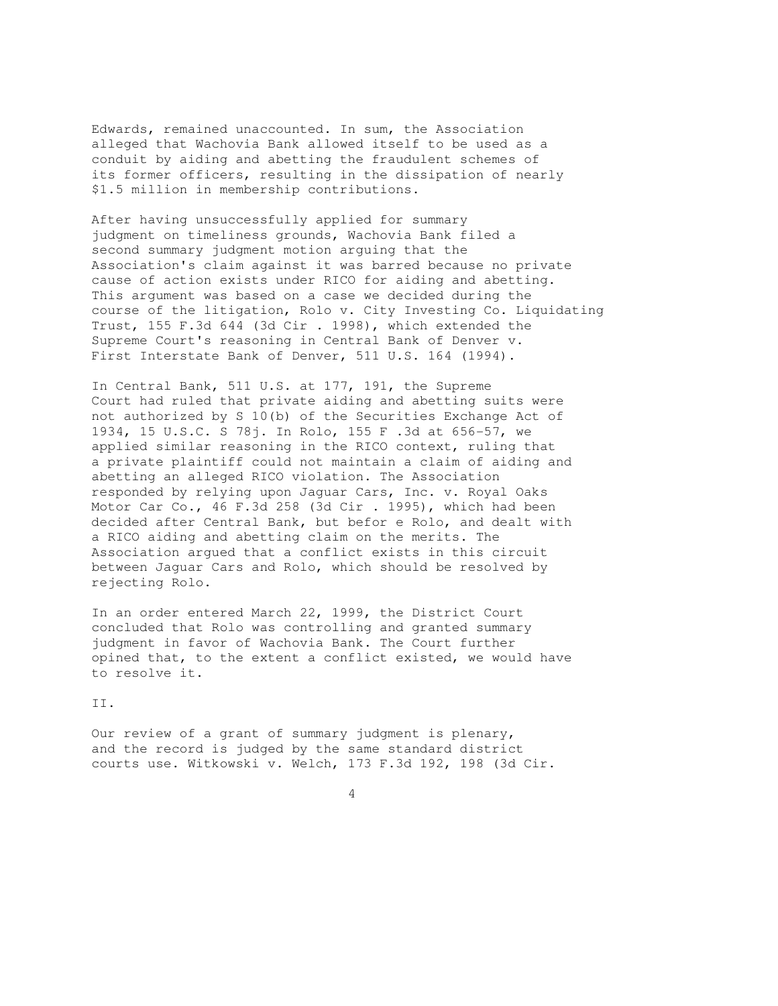Edwards, remained unaccounted. In sum, the Association alleged that Wachovia Bank allowed itself to be used as a conduit by aiding and abetting the fraudulent schemes of its former officers, resulting in the dissipation of nearly \$1.5 million in membership contributions.

After having unsuccessfully applied for summary judgment on timeliness grounds, Wachovia Bank filed a second summary judgment motion arguing that the Association's claim against it was barred because no private cause of action exists under RICO for aiding and abetting. This argument was based on a case we decided during the course of the litigation, Rolo v. City Investing Co. Liquidating Trust, 155 F.3d 644 (3d Cir . 1998), which extended the Supreme Court's reasoning in Central Bank of Denver v. First Interstate Bank of Denver, 511 U.S. 164 (1994).

In Central Bank, 511 U.S. at 177, 191, the Supreme Court had ruled that private aiding and abetting suits were not authorized by S 10(b) of the Securities Exchange Act of 1934, 15 U.S.C. S 78j. In Rolo, 155 F .3d at 656-57, we applied similar reasoning in the RICO context, ruling that a private plaintiff could not maintain a claim of aiding and abetting an alleged RICO violation. The Association responded by relying upon Jaguar Cars, Inc. v. Royal Oaks Motor Car Co., 46 F.3d 258 (3d Cir . 1995), which had been decided after Central Bank, but befor e Rolo, and dealt with a RICO aiding and abetting claim on the merits. The Association argued that a conflict exists in this circuit between Jaguar Cars and Rolo, which should be resolved by rejecting Rolo.

In an order entered March 22, 1999, the District Court concluded that Rolo was controlling and granted summary judgment in favor of Wachovia Bank. The Court further opined that, to the extent a conflict existed, we would have to resolve it.

II.

Our review of a grant of summary judgment is plenary, and the record is judged by the same standard district courts use. Witkowski v. Welch, 173 F.3d 192, 198 (3d Cir.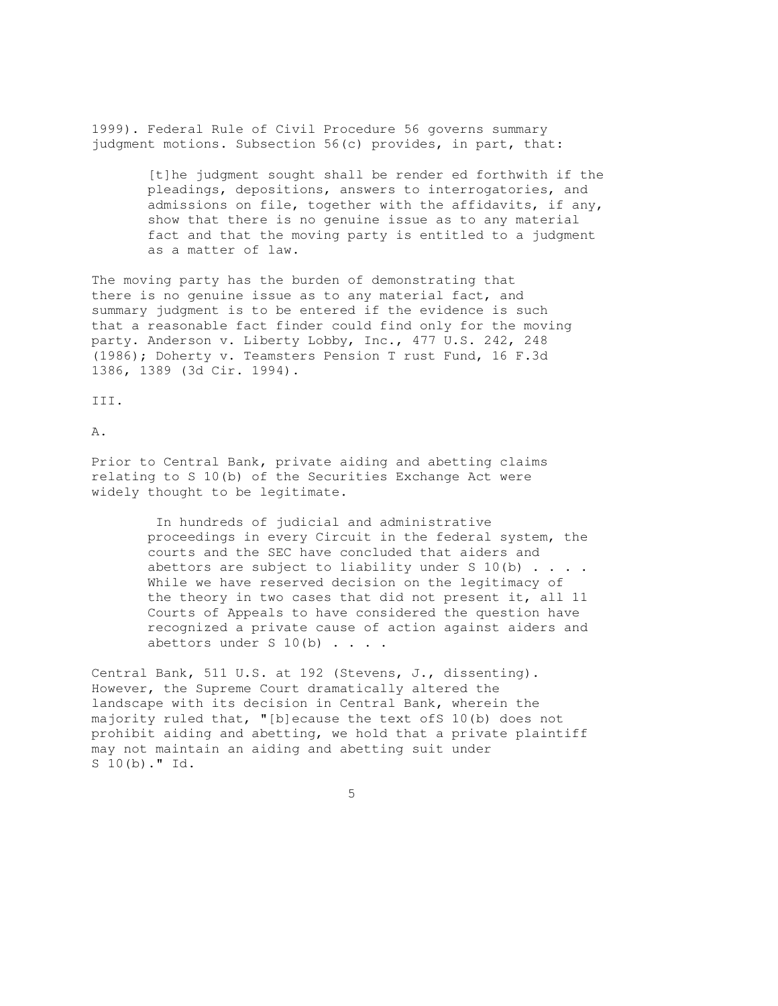1999). Federal Rule of Civil Procedure 56 governs summary judgment motions. Subsection 56(c) provides, in part, that:

> [t]he judgment sought shall be render ed forthwith if the pleadings, depositions, answers to interrogatories, and admissions on file, together with the affidavits, if any, show that there is no genuine issue as to any material fact and that the moving party is entitled to a judgment as a matter of law.

The moving party has the burden of demonstrating that there is no genuine issue as to any material fact, and summary judgment is to be entered if the evidence is such that a reasonable fact finder could find only for the moving party. Anderson v. Liberty Lobby, Inc., 477 U.S. 242, 248 (1986); Doherty v. Teamsters Pension T rust Fund, 16 F.3d 1386, 1389 (3d Cir. 1994).

III.

A.

Prior to Central Bank, private aiding and abetting claims relating to S 10(b) of the Securities Exchange Act were widely thought to be legitimate.

> In hundreds of judicial and administrative proceedings in every Circuit in the federal system, the courts and the SEC have concluded that aiders and abettors are subject to liability under S  $10(b)$  . . . . While we have reserved decision on the legitimacy of the theory in two cases that did not present it, all 11 Courts of Appeals to have considered the question have recognized a private cause of action against aiders and abettors under S  $10(b)$  . . . .

Central Bank, 511 U.S. at 192 (Stevens, J., dissenting). However, the Supreme Court dramatically altered the landscape with its decision in Central Bank, wherein the majority ruled that, "[b]ecause the text ofS 10(b) does not prohibit aiding and abetting, we hold that a private plaintiff may not maintain an aiding and abetting suit under S 10(b)." Id.

 $\sim$  5  $\sim$  5  $\sim$  5  $\sim$  5  $\sim$  5  $\sim$  5  $\sim$  5  $\sim$  5  $\sim$  5  $\sim$  5  $\sim$  5  $\sim$  5  $\sim$  5  $\sim$  5  $\sim$  5  $\sim$  5  $\sim$  5  $\sim$  5  $\sim$  5  $\sim$  5  $\sim$  5  $\sim$  5  $\sim$  5  $\sim$  5  $\sim$  5  $\sim$  5  $\sim$  5  $\sim$  5  $\sim$  5  $\sim$  5  $\sim$  5  $\sim$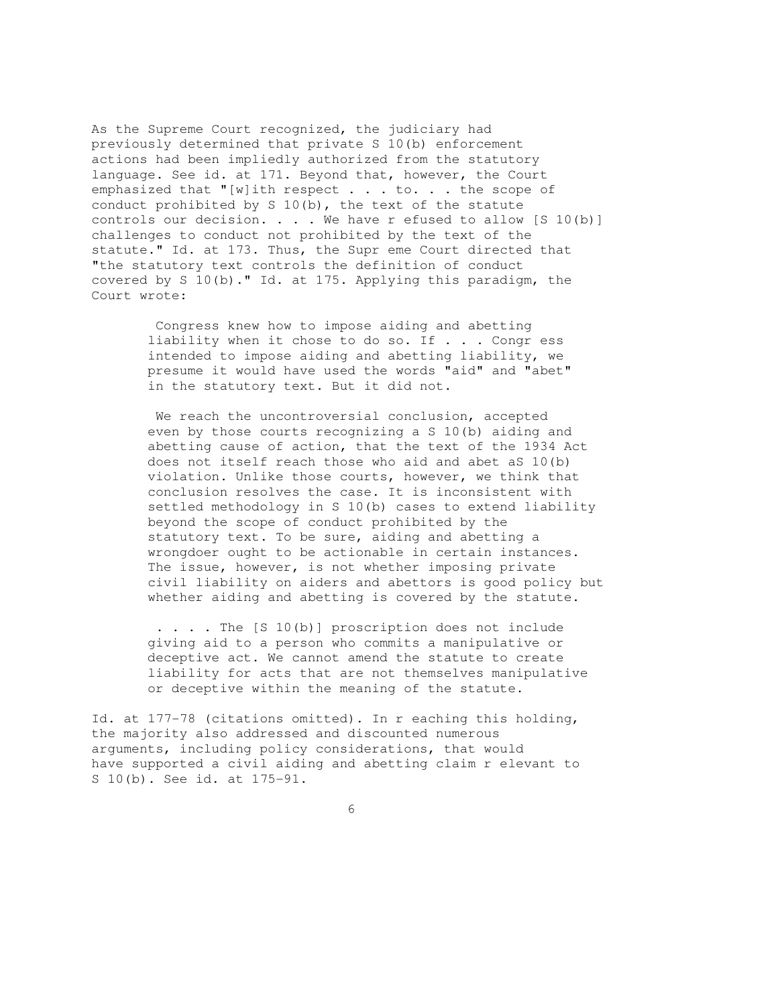As the Supreme Court recognized, the judiciary had previously determined that private S 10(b) enforcement actions had been impliedly authorized from the statutory language. See id. at 171. Beyond that, however, the Court emphasized that "[w]ith respect . . . to. . . the scope of conduct prohibited by S 10(b), the text of the statute controls our decision. . . . We have r efused to allow  $[S 10(b)]$ challenges to conduct not prohibited by the text of the statute." Id. at 173. Thus, the Supr eme Court directed that "the statutory text controls the definition of conduct covered by S 10(b)." Id. at 175. Applying this paradigm, the Court wrote:

> Congress knew how to impose aiding and abetting liability when it chose to do so. If . . . Congr ess intended to impose aiding and abetting liability, we presume it would have used the words "aid" and "abet" in the statutory text. But it did not.

We reach the uncontroversial conclusion, accepted even by those courts recognizing a S 10(b) aiding and abetting cause of action, that the text of the 1934 Act does not itself reach those who aid and abet aS 10(b) violation. Unlike those courts, however, we think that conclusion resolves the case. It is inconsistent with settled methodology in S 10(b) cases to extend liability beyond the scope of conduct prohibited by the statutory text. To be sure, aiding and abetting a wrongdoer ought to be actionable in certain instances. The issue, however, is not whether imposing private civil liability on aiders and abettors is good policy but whether aiding and abetting is covered by the statute.

 . . . . The [S 10(b)] proscription does not include giving aid to a person who commits a manipulative or deceptive act. We cannot amend the statute to create liability for acts that are not themselves manipulative or deceptive within the meaning of the statute.

Id. at 177-78 (citations omitted). In r eaching this holding, the majority also addressed and discounted numerous arguments, including policy considerations, that would have supported a civil aiding and abetting claim r elevant to S 10(b). See id. at 175-91.

 $\overline{6}$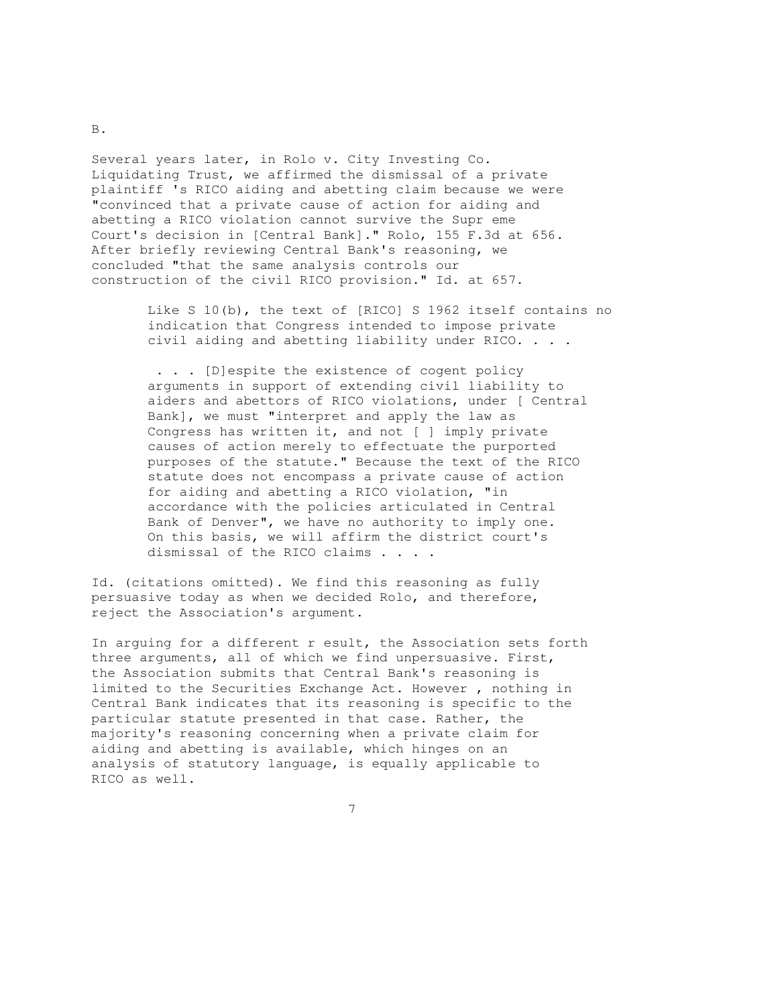Several years later, in Rolo v. City Investing Co. Liquidating Trust, we affirmed the dismissal of a private plaintiff 's RICO aiding and abetting claim because we were "convinced that a private cause of action for aiding and abetting a RICO violation cannot survive the Supr eme Court's decision in [Central Bank]." Rolo, 155 F.3d at 656. After briefly reviewing Central Bank's reasoning, we concluded "that the same analysis controls our construction of the civil RICO provision." Id. at 657.

> Like S 10(b), the text of [RICO] S 1962 itself contains no indication that Congress intended to impose private civil aiding and abetting liability under RICO. . . .

 . . . [D]espite the existence of cogent policy arguments in support of extending civil liability to aiders and abettors of RICO violations, under [ Central Bank], we must "interpret and apply the law as Congress has written it, and not [ ] imply private causes of action merely to effectuate the purported purposes of the statute." Because the text of the RICO statute does not encompass a private cause of action for aiding and abetting a RICO violation, "in accordance with the policies articulated in Central Bank of Denver", we have no authority to imply one. On this basis, we will affirm the district court's dismissal of the RICO claims . . . .

Id. (citations omitted). We find this reasoning as fully persuasive today as when we decided Rolo, and therefore, reject the Association's argument.

7

In arguing for a different r esult, the Association sets forth three arguments, all of which we find unpersuasive. First, the Association submits that Central Bank's reasoning is limited to the Securities Exchange Act. However , nothing in Central Bank indicates that its reasoning is specific to the particular statute presented in that case. Rather, the majority's reasoning concerning when a private claim for aiding and abetting is available, which hinges on an analysis of statutory language, is equally applicable to RICO as well.

B.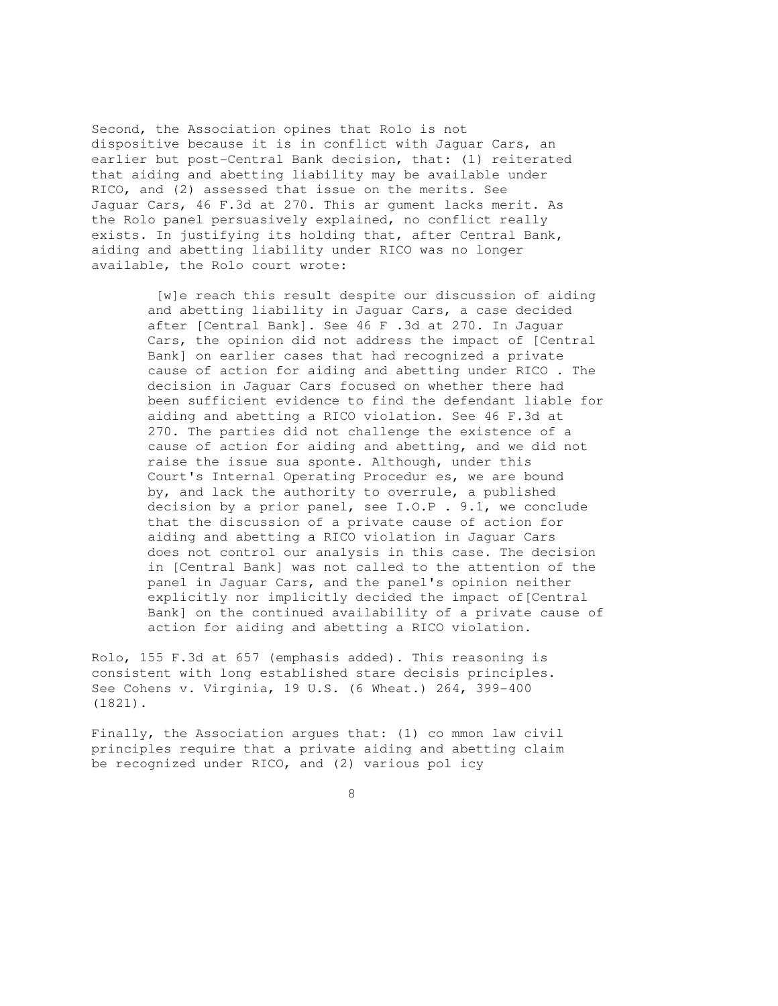Second, the Association opines that Rolo is not dispositive because it is in conflict with Jaguar Cars, an earlier but post-Central Bank decision, that: (1) reiterated that aiding and abetting liability may be available under RICO, and (2) assessed that issue on the merits. See Jaguar Cars, 46 F.3d at 270. This ar gument lacks merit. As the Rolo panel persuasively explained, no conflict really exists. In justifying its holding that, after Central Bank, aiding and abetting liability under RICO was no longer available, the Rolo court wrote:

> [w]e reach this result despite our discussion of aiding and abetting liability in Jaguar Cars, a case decided after [Central Bank]. See 46 F .3d at 270. In Jaguar Cars, the opinion did not address the impact of [Central Bank] on earlier cases that had recognized a private cause of action for aiding and abetting under RICO . The decision in Jaguar Cars focused on whether there had been sufficient evidence to find the defendant liable for aiding and abetting a RICO violation. See 46 F.3d at 270. The parties did not challenge the existence of a cause of action for aiding and abetting, and we did not raise the issue sua sponte. Although, under this Court's Internal Operating Procedur es, we are bound by, and lack the authority to overrule, a published decision by a prior panel, see I.O.P . 9.1, we conclude that the discussion of a private cause of action for aiding and abetting a RICO violation in Jaguar Cars does not control our analysis in this case. The decision in [Central Bank] was not called to the attention of the panel in Jaguar Cars, and the panel's opinion neither explicitly nor implicitly decided the impact of [Central Bank] on the continued availability of a private cause of action for aiding and abetting a RICO violation.

Rolo, 155 F.3d at 657 (emphasis added). This reasoning is consistent with long established stare decisis principles. See Cohens v. Virginia, 19 U.S. (6 Wheat.) 264, 399-400 (1821).

Finally, the Association argues that: (1) co mmon law civil principles require that a private aiding and abetting claim be recognized under RICO, and (2) various pol icy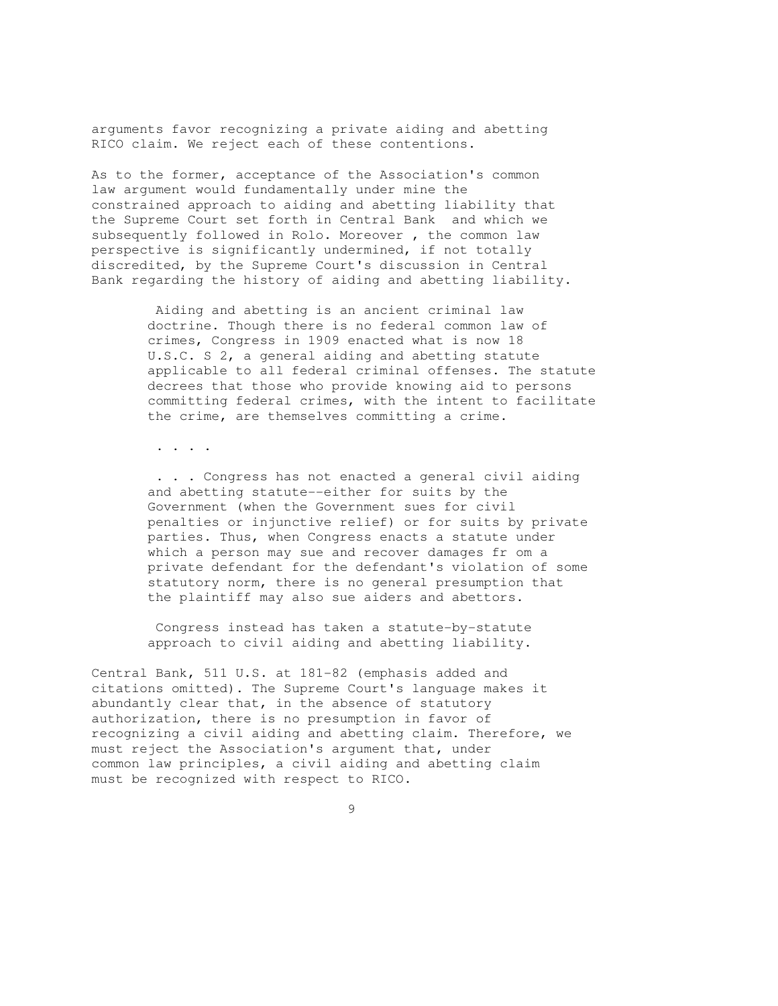arguments favor recognizing a private aiding and abetting RICO claim. We reject each of these contentions.

As to the former, acceptance of the Association's common law argument would fundamentally under mine the constrained approach to aiding and abetting liability that the Supreme Court set forth in Central Bank and which we subsequently followed in Rolo. Moreover , the common law perspective is significantly undermined, if not totally discredited, by the Supreme Court's discussion in Central Bank regarding the history of aiding and abetting liability.

> Aiding and abetting is an ancient criminal law doctrine. Though there is no federal common law of crimes, Congress in 1909 enacted what is now 18 U.S.C. S 2, a general aiding and abetting statute applicable to all federal criminal offenses. The statute decrees that those who provide knowing aid to persons committing federal crimes, with the intent to facilitate the crime, are themselves committing a crime.

. . . .

 . . . Congress has not enacted a general civil aiding and abetting statute--either for suits by the Government (when the Government sues for civil penalties or injunctive relief) or for suits by private parties. Thus, when Congress enacts a statute under which a person may sue and recover damages fr om a private defendant for the defendant's violation of some statutory norm, there is no general presumption that the plaintiff may also sue aiders and abettors.

 Congress instead has taken a statute-by-statute approach to civil aiding and abetting liability.

Central Bank, 511 U.S. at 181-82 (emphasis added and citations omitted). The Supreme Court's language makes it abundantly clear that, in the absence of statutory authorization, there is no presumption in favor of recognizing a civil aiding and abetting claim. Therefore, we must reject the Association's argument that, under common law principles, a civil aiding and abetting claim must be recognized with respect to RICO.